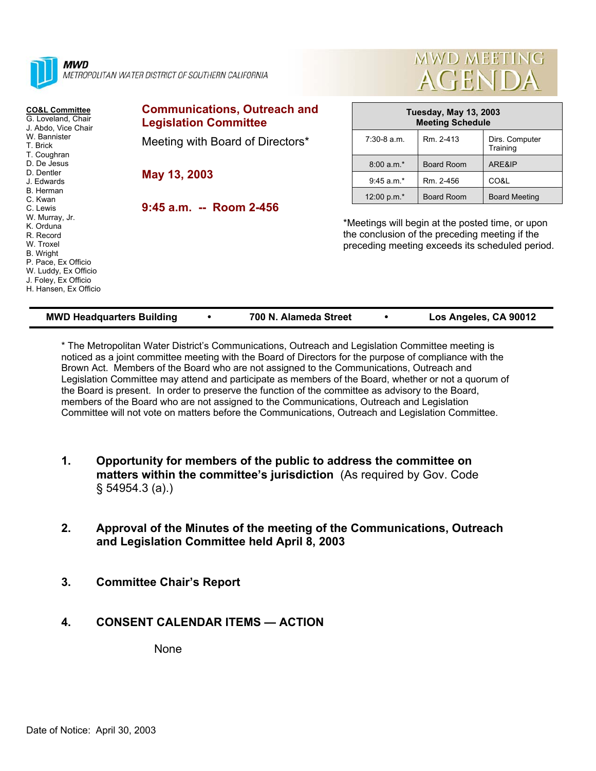| <b>MWD</b><br>METROPOLITAN WATER DISTRICT OF SOUTHERN CALIFORNIA                                                                                                               |                                                                     | MWD MEETING<br><b>AGENDA</b>                                                                                                                          |                                                         |                            |  |  |
|--------------------------------------------------------------------------------------------------------------------------------------------------------------------------------|---------------------------------------------------------------------|-------------------------------------------------------------------------------------------------------------------------------------------------------|---------------------------------------------------------|----------------------------|--|--|
| <b>CO&amp;L Committee</b><br>G. Loveland, Chair<br>J. Abdo, Vice Chair<br>W. Bannister<br>T. Brick<br>T. Coughran<br>D. De Jesus<br>D. Dentler<br>J. Edwards                   | <b>Communications, Outreach and</b><br><b>Legislation Committee</b> |                                                                                                                                                       | <b>Tuesday, May 13, 2003</b><br><b>Meeting Schedule</b> |                            |  |  |
|                                                                                                                                                                                | Meeting with Board of Directors*                                    | $7:30-8$ a.m.                                                                                                                                         | Rm. 2-413                                               | Dirs. Computer<br>Training |  |  |
|                                                                                                                                                                                | May 13, 2003                                                        | $8:00 a.m.*$                                                                                                                                          | <b>Board Room</b>                                       | ARE&IP                     |  |  |
|                                                                                                                                                                                |                                                                     | $9:45$ a.m.*                                                                                                                                          | Rm. 2-456                                               | CO&L                       |  |  |
| B. Herman<br>C. Kwan                                                                                                                                                           |                                                                     | 12:00 p.m.*                                                                                                                                           | Board Room                                              | <b>Board Meeting</b>       |  |  |
| C. Lewis<br>W. Murray, Jr.<br>K. Orduna<br>R. Record<br>W. Troxel<br>B. Wright<br>P. Pace, Ex Officio<br>W. Luddy, Ex Officio<br>J. Foley, Ex Officio<br>H. Hansen, Ex Officio | 9:45 a.m. -- Room 2-456                                             | *Meetings will begin at the posted time, or upon<br>the conclusion of the preceding meeting if the<br>preceding meeting exceeds its scheduled period. |                                                         |                            |  |  |

LILLER LIBERATURE

| <b>MWD Headquarters Building</b> | 700 N. Alameda Street | Los Angeles, CA 90012 |
|----------------------------------|-----------------------|-----------------------|
|                                  |                       |                       |

\* The Metropolitan Water District's Communications, Outreach and Legislation Committee meeting is noticed as a joint committee meeting with the Board of Directors for the purpose of compliance with the Brown Act. Members of the Board who are not assigned to the Communications, Outreach and Legislation Committee may attend and participate as members of the Board, whether or not a quorum of the Board is present. In order to preserve the function of the committee as advisory to the Board, members of the Board who are not assigned to the Communications, Outreach and Legislation Committee will not vote on matters before the Communications, Outreach and Legislation Committee.

- **1. Opportunity for members of the public to address the committee on matters within the committee's jurisdiction** (As required by Gov. Code § 54954.3 (a).)
- **2. Approval of the Minutes of the meeting of the Communications, Outreach and Legislation Committee held April 8, 2003**
- **3. Committee Chair's Report**

# **4. CONSENT CALENDAR ITEMS — ACTION**

None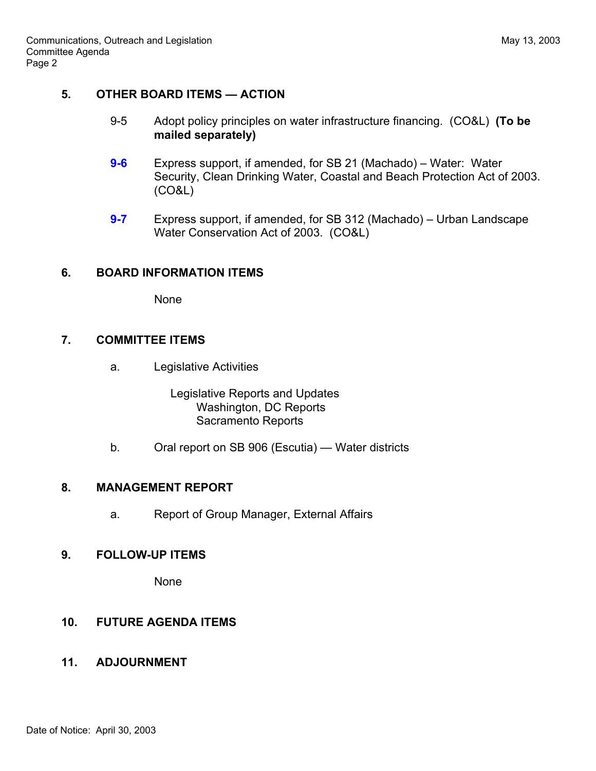# **5. OTHER BOARD ITEMS — ACTION**

- 9-5 Adopt policy principles on water infrastructure financing. (CO&L) **(To be mailed separately)**
- **9-6** Express support, if amended, for SB 21 (Machado) Water: Water Security, Clean Drinking Water, Coastal and Beach Protection Act of 2003. (CO&L)
- **9-7** Express support, if amended, for SB 312 (Machado) Urban Landscape Water Conservation Act of 2003. (CO&L)

#### **6. BOARD INFORMATION ITEMS**

None

# **7. COMMITTEE ITEMS**

a. Legislative Activities

 Legislative Reports and Updates Washington, DC Reports Sacramento Reports

b. Oral report on SB 906 (Escutia) — Water districts

#### **8. MANAGEMENT REPORT**

a. Report of Group Manager, External Affairs

# **9. FOLLOW-UP ITEMS**

None

# **10. FUTURE AGENDA ITEMS**

#### **11. ADJOURNMENT**